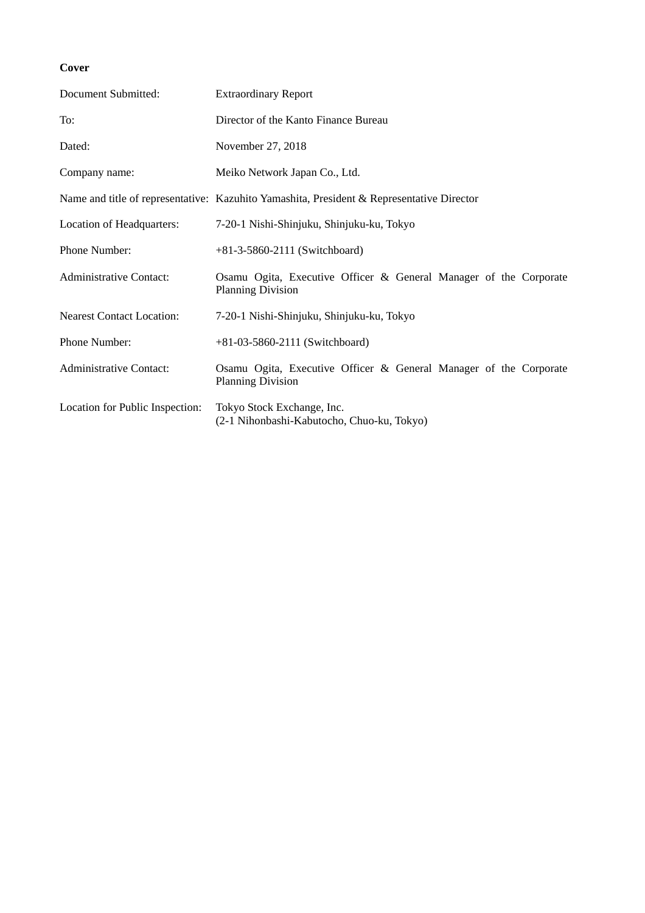## **Cover**

| Document Submitted:              | <b>Extraordinary Report</b>                                                                   |  |  |  |  |
|----------------------------------|-----------------------------------------------------------------------------------------------|--|--|--|--|
| To:                              | Director of the Kanto Finance Bureau                                                          |  |  |  |  |
| Dated:                           | November 27, 2018                                                                             |  |  |  |  |
| Company name:                    | Meiko Network Japan Co., Ltd.                                                                 |  |  |  |  |
|                                  | Name and title of representative: Kazuhito Yamashita, President & Representative Director     |  |  |  |  |
| Location of Headquarters:        | 7-20-1 Nishi-Shinjuku, Shinjuku-ku, Tokyo                                                     |  |  |  |  |
| Phone Number:                    | $+81-3-5860-2111$ (Switchboard)                                                               |  |  |  |  |
| <b>Administrative Contact:</b>   | Osamu Ogita, Executive Officer & General Manager of the Corporate<br><b>Planning Division</b> |  |  |  |  |
| <b>Nearest Contact Location:</b> | 7-20-1 Nishi-Shinjuku, Shinjuku-ku, Tokyo                                                     |  |  |  |  |
| Phone Number:                    | $+81-03-5860-2111$ (Switchboard)                                                              |  |  |  |  |
| <b>Administrative Contact:</b>   | Osamu Ogita, Executive Officer & General Manager of the Corporate<br><b>Planning Division</b> |  |  |  |  |
| Location for Public Inspection:  | Tokyo Stock Exchange, Inc.<br>(2-1 Nihonbashi-Kabutocho, Chuo-ku, Tokyo)                      |  |  |  |  |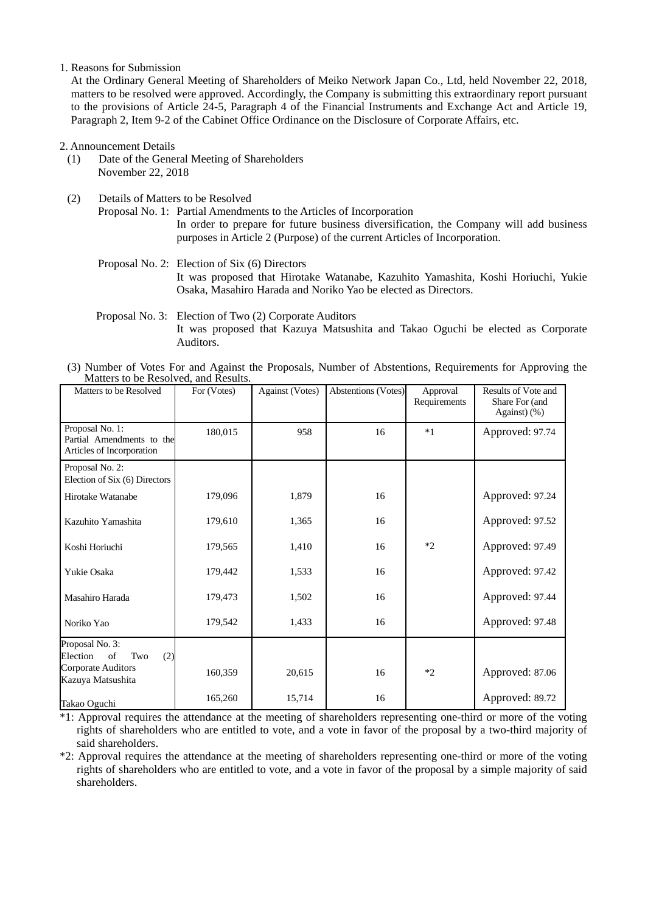## 1. Reasons for Submission

At the Ordinary General Meeting of Shareholders of Meiko Network Japan Co., Ltd, held November 22, 2018, matters to be resolved were approved. Accordingly, the Company is submitting this extraordinary report pursuant to the provisions of Article 24-5, Paragraph 4 of the Financial Instruments and Exchange Act and Article 19, Paragraph 2, Item 9-2 of the Cabinet Office Ordinance on the Disclosure of Corporate Affairs, etc.

2. Announcement Details

- (1) Date of the General Meeting of Shareholders November 22, 2018
- (2) Details of Matters to be Resolved Proposal No. 1: Partial Amendments to the Articles of Incorporation In order to prepare for future business diversification, the Company will add business purposes in Article 2 (Purpose) of the current Articles of Incorporation.

## Proposal No. 2: Election of Six (6) Directors It was proposed that Hirotake Watanabe, Kazuhito Yamashita, Koshi Horiuchi, Yukie Osaka, Masahiro Harada and Noriko Yao be elected as Directors.

## Proposal No. 3: Election of Two (2) Corporate Auditors It was proposed that Kazuya Matsushita and Takao Oguchi be elected as Corporate Auditors.

(3) Number of Votes For and Against the Proposals, Number of Abstentions, Requirements for Approving the Matters to be Resolved, and Results.

| Matters to be Resolved                                                    | For (Votes) | Against (Votes) | Abstentions (Votes) | Approval<br>Requirements | Results of Vote and<br>Share For (and<br>Against) (%) |
|---------------------------------------------------------------------------|-------------|-----------------|---------------------|--------------------------|-------------------------------------------------------|
| Proposal No. 1:<br>Partial Amendments to the<br>Articles of Incorporation | 180,015     | 958             | 16                  | $*1$                     | Approved: 97.74                                       |
| Proposal No. 2:<br>Election of Six (6) Directors                          |             |                 |                     |                          |                                                       |
| Hirotake Watanabe                                                         | 179,096     | 1,879           | 16                  |                          | Approved: 97.24                                       |
| Kazuhito Yamashita                                                        | 179,610     | 1,365           | 16                  |                          | Approved: 97.52                                       |
| Koshi Horiuchi                                                            | 179,565     | 1,410           | 16                  | $*2$                     | Approved: 97.49                                       |
| Yukie Osaka                                                               | 179,442     | 1,533           | 16                  |                          | Approved: 97.42                                       |
| Masahiro Harada                                                           | 179,473     | 1,502           | 16                  |                          | Approved: 97.44                                       |
| Noriko Yao                                                                | 179,542     | 1,433           | 16                  |                          | Approved: 97.48                                       |
| Proposal No. 3:<br>of<br>Election<br>(2)<br>Two                           |             |                 |                     |                          |                                                       |
| <b>Corporate Auditors</b><br>Kazuya Matsushita                            | 160,359     | 20,615          | 16                  | $*2$                     | Approved: 87.06                                       |
| Takao Oguchi                                                              | 165,260     | 15,714          | 16                  |                          | Approved: 89.72                                       |

\*1: Approval requires the attendance at the meeting of shareholders representing one-third or more of the voting rights of shareholders who are entitled to vote, and a vote in favor of the proposal by a two-third majority of said shareholders.

\*2: Approval requires the attendance at the meeting of shareholders representing one-third or more of the voting rights of shareholders who are entitled to vote, and a vote in favor of the proposal by a simple majority of said shareholders.